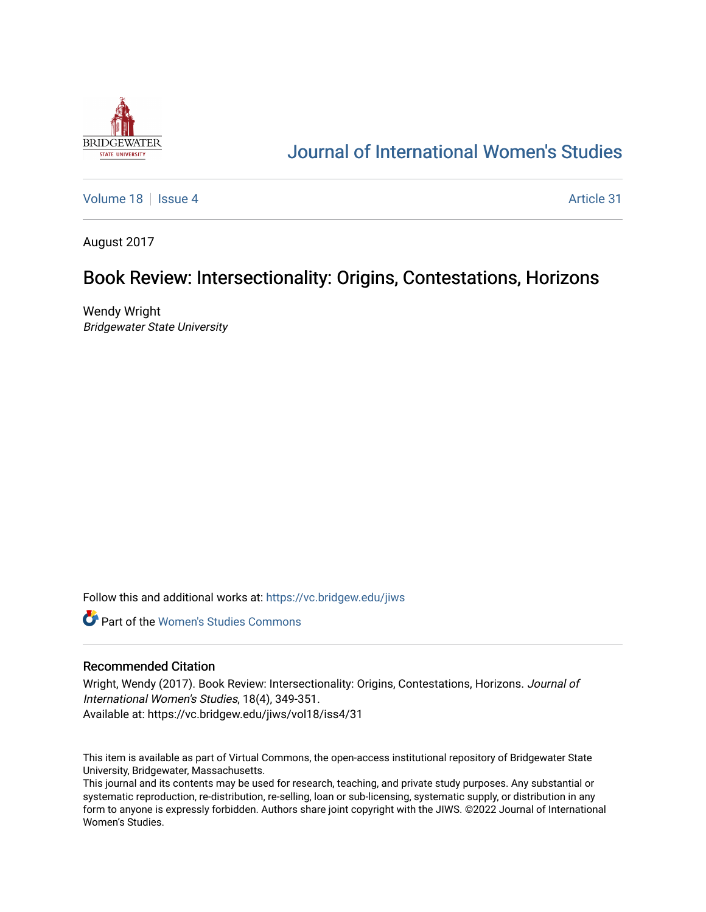

# [Journal of International Women's Studies](https://vc.bridgew.edu/jiws)

[Volume 18](https://vc.bridgew.edu/jiws/vol18) September 18 [Issue 4](https://vc.bridgew.edu/jiws/vol18/iss4) Article 31

August 2017

## Book Review: Intersectionality: Origins, Contestations, Horizons

Wendy Wright Bridgewater State University

Follow this and additional works at: [https://vc.bridgew.edu/jiws](https://vc.bridgew.edu/jiws?utm_source=vc.bridgew.edu%2Fjiws%2Fvol18%2Fiss4%2F31&utm_medium=PDF&utm_campaign=PDFCoverPages)

**C** Part of the Women's Studies Commons

### Recommended Citation

Wright, Wendy (2017). Book Review: Intersectionality: Origins, Contestations, Horizons. Journal of International Women's Studies, 18(4), 349-351. Available at: https://vc.bridgew.edu/jiws/vol18/iss4/31

This item is available as part of Virtual Commons, the open-access institutional repository of Bridgewater State University, Bridgewater, Massachusetts.

This journal and its contents may be used for research, teaching, and private study purposes. Any substantial or systematic reproduction, re-distribution, re-selling, loan or sub-licensing, systematic supply, or distribution in any form to anyone is expressly forbidden. Authors share joint copyright with the JIWS. ©2022 Journal of International Women's Studies.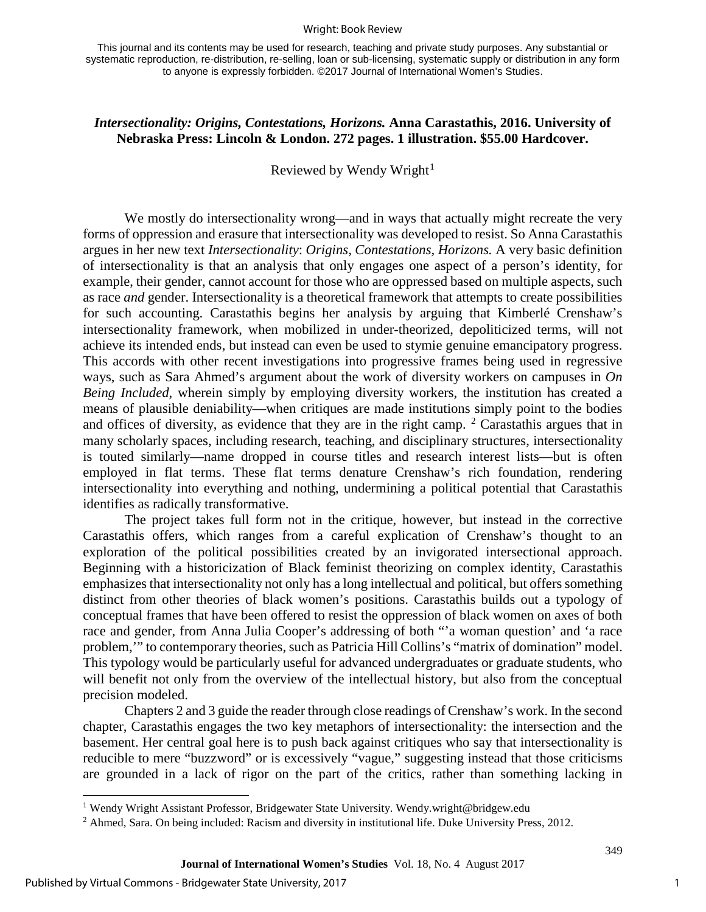#### Wright: Book Review

## *Intersectionality: Origins, Contestations, Horizons.* **Anna Carastathis, 2016. University of Nebraska Press: Lincoln & London. 272 pages. 1 illustration. \$55.00 Hardcover.**

Reviewed by Wendy Wright<sup>[1](#page-1-0)</sup>

We mostly do intersectionality wrong—and in ways that actually might recreate the very forms of oppression and erasure that intersectionality was developed to resist. So Anna Carastathis argues in her new text *Intersectionality*: *Origins, Contestations, Horizons.* A very basic definition of intersectionality is that an analysis that only engages one aspect of a person's identity, for example, their gender, cannot account for those who are oppressed based on multiple aspects, such as race *and* gender. Intersectionality is a theoretical framework that attempts to create possibilities for such accounting. Carastathis begins her analysis by arguing that Kimberlé Crenshaw's intersectionality framework, when mobilized in under-theorized, depoliticized terms, will not achieve its intended ends, but instead can even be used to stymie genuine emancipatory progress. This accords with other recent investigations into progressive frames being used in regressive ways, such as Sara Ahmed's argument about the work of diversity workers on campuses in *On Being Included*, wherein simply by employing diversity workers, the institution has created a means of plausible deniability—when critiques are made institutions simply point to the bodies and offices of diversity, as evidence that they are in the right camp.  $2$  Carastathis argues that in many scholarly spaces, including research, teaching, and disciplinary structures, intersectionality is touted similarly—name dropped in course titles and research interest lists—but is often employed in flat terms. These flat terms denature Crenshaw's rich foundation, rendering intersectionality into everything and nothing, undermining a political potential that Carastathis identifies as radically transformative.

The project takes full form not in the critique, however, but instead in the corrective Carastathis offers, which ranges from a careful explication of Crenshaw's thought to an exploration of the political possibilities created by an invigorated intersectional approach. Beginning with a historicization of Black feminist theorizing on complex identity, Carastathis emphasizes that intersectionality not only has a long intellectual and political, but offers something distinct from other theories of black women's positions. Carastathis builds out a typology of conceptual frames that have been offered to resist the oppression of black women on axes of both race and gender, from Anna Julia Cooper's addressing of both "'a woman question' and 'a race problem,'" to contemporary theories, such as Patricia Hill Collins's "matrix of domination" model. This typology would be particularly useful for advanced undergraduates or graduate students, who will benefit not only from the overview of the intellectual history, but also from the conceptual precision modeled.

Chapters 2 and 3 guide the reader through close readings of Crenshaw's work. In the second chapter, Carastathis engages the two key metaphors of intersectionality: the intersection and the basement. Her central goal here is to push back against critiques who say that intersectionality is reducible to mere "buzzword" or is excessively "vague," suggesting instead that those criticisms are grounded in a lack of rigor on the part of the critics, rather than something lacking in

l

349

<span id="page-1-0"></span><sup>1</sup> Wendy Wright Assistant Professor, Bridgewater State University. Wendy.wright@bridgew.edu

<span id="page-1-1"></span><sup>&</sup>lt;sup>2</sup> Ahmed, Sara. On being included: Racism and diversity in institutional life. Duke University Press, 2012.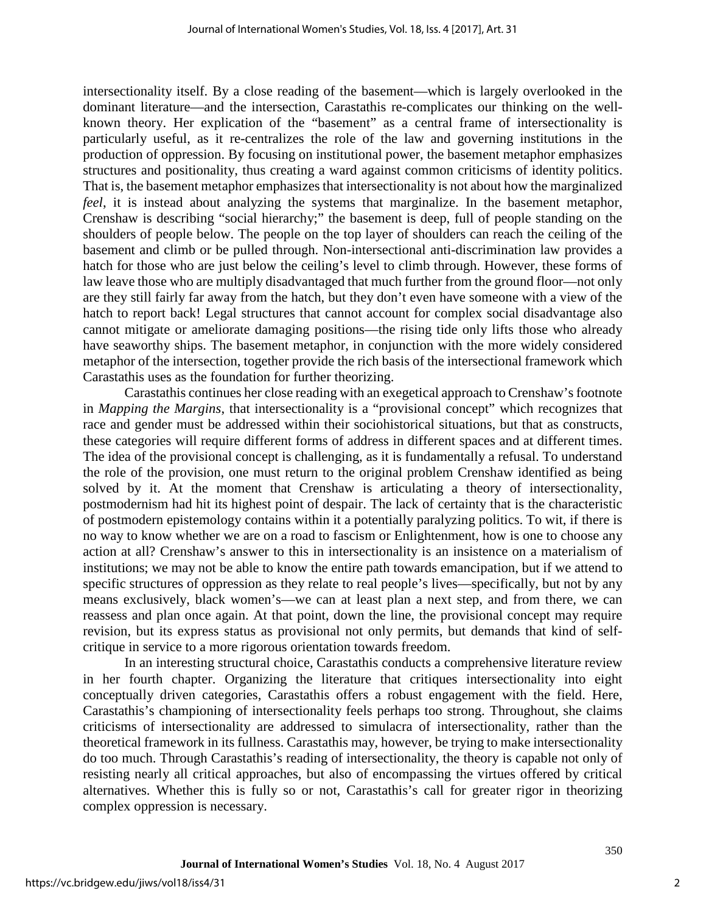intersectionality itself. By a close reading of the basement—which is largely overlooked in the dominant literature—and the intersection, Carastathis re-complicates our thinking on the wellknown theory. Her explication of the "basement" as a central frame of intersectionality is particularly useful, as it re-centralizes the role of the law and governing institutions in the production of oppression. By focusing on institutional power, the basement metaphor emphasizes structures and positionality, thus creating a ward against common criticisms of identity politics. That is, the basement metaphor emphasizes that intersectionality is not about how the marginalized *feel*, it is instead about analyzing the systems that marginalize. In the basement metaphor, Crenshaw is describing "social hierarchy;" the basement is deep, full of people standing on the shoulders of people below. The people on the top layer of shoulders can reach the ceiling of the basement and climb or be pulled through. Non-intersectional anti-discrimination law provides a hatch for those who are just below the ceiling's level to climb through. However, these forms of law leave those who are multiply disadvantaged that much further from the ground floor—not only are they still fairly far away from the hatch, but they don't even have someone with a view of the hatch to report back! Legal structures that cannot account for complex social disadvantage also cannot mitigate or ameliorate damaging positions—the rising tide only lifts those who already have seaworthy ships. The basement metaphor, in conjunction with the more widely considered metaphor of the intersection, together provide the rich basis of the intersectional framework which Carastathis uses as the foundation for further theorizing.

Carastathis continues her close reading with an exegetical approach to Crenshaw's footnote in *Mapping the Margins*, that intersectionality is a "provisional concept" which recognizes that race and gender must be addressed within their sociohistorical situations, but that as constructs, these categories will require different forms of address in different spaces and at different times. The idea of the provisional concept is challenging, as it is fundamentally a refusal. To understand the role of the provision, one must return to the original problem Crenshaw identified as being solved by it. At the moment that Crenshaw is articulating a theory of intersectionality, postmodernism had hit its highest point of despair. The lack of certainty that is the characteristic of postmodern epistemology contains within it a potentially paralyzing politics. To wit, if there is no way to know whether we are on a road to fascism or Enlightenment, how is one to choose any action at all? Crenshaw's answer to this in intersectionality is an insistence on a materialism of institutions; we may not be able to know the entire path towards emancipation, but if we attend to specific structures of oppression as they relate to real people's lives—specifically, but not by any means exclusively, black women's—we can at least plan a next step, and from there, we can reassess and plan once again. At that point, down the line, the provisional concept may require revision, but its express status as provisional not only permits, but demands that kind of selfcritique in service to a more rigorous orientation towards freedom.

In an interesting structural choice, Carastathis conducts a comprehensive literature review in her fourth chapter. Organizing the literature that critiques intersectionality into eight conceptually driven categories, Carastathis offers a robust engagement with the field. Here, Carastathis's championing of intersectionality feels perhaps too strong. Throughout, she claims criticisms of intersectionality are addressed to simulacra of intersectionality, rather than the theoretical framework in its fullness. Carastathis may, however, be trying to make intersectionality do too much. Through Carastathis's reading of intersectionality, the theory is capable not only of resisting nearly all critical approaches, but also of encompassing the virtues offered by critical alternatives. Whether this is fully so or not, Carastathis's call for greater rigor in theorizing complex oppression is necessary.

350